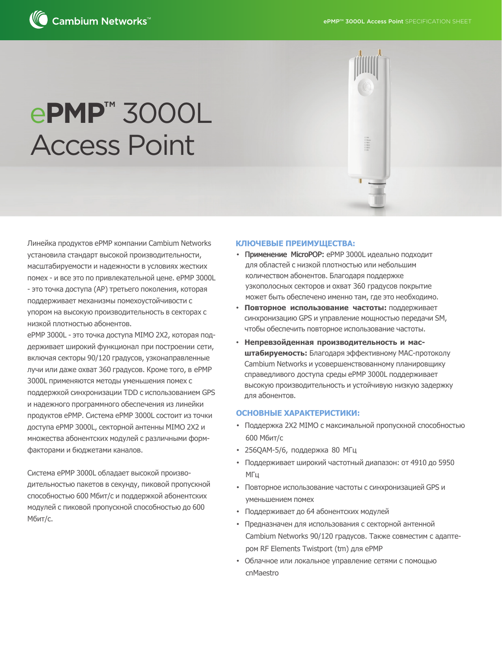

# e**PMP™** 3000L Access Point

Линейка продуктов ePMP компании Cambium Networks установила стандарт высокой производительности, масштабируемости и надежности в условиях жестких помех - и все это по привлекательной цене. ePMP 3000L - это точка доступа (AP) третьего поколения, которая поддерживает механизмы помехоустойчивости с упором на высокую производительность в секторах с низкой плотностью абонентов.

ePMP 3000L - это точка доступа MIMO 2X2, которая поддерживает широкий функционал при построении сети, включая секторы 90/120 градусов, узконаправленные лучи или даже охват 360 градусов. Кроме того, в ePMP 3000L применяются методы уменьшения помех с поддержкой синхронизации TDD с использованием GPS и надежного программного обеспечения из линейки продуктов ePMP. Система ePMP 3000L состоит из точки доступа ePMP 3000L, секторной антенны MIMO 2X2 и множества абонентских модулей с различными формфакторами и бюджетами каналов.

Система ePMP 3000L обладает высокой производительностью пакетов в секунду, пиковой пропускной способностью 600 Мбит/с и поддержкой абонентских модулей с пиковой пропускной способностью до 600 Мбит/с.

#### **КЛЮЧЕВЫЕ ПРЕИМУЩЕСТВА:**

- Применение MicroPOP: ePMP 3000L идеально подходит для областей с низкой плотностью или небольшим количеством абонентов. Благодаря поддержке узкополосных секторов и охват 360 градусов покрытие может быть обеспечено именно там, где это необходимо.
- **Повторное использование частоты:** поддерживает синхронизацию GPS и управление мощностью передачи SM, чтобы обеспечить повторное использование частоты.
- **Непревзойденная производительность и масштабируемость:** Благодаря эффективному MAC-протоколу Cambium Networks и усовершенствованному планировщику справедливого доступа среды ePMP 3000L поддерживает высокую производительность и устойчивую низкую задержку для абонентов.

#### **ОСНОВНЫЕ ХАРАКТЕРИСТИКИ:**

- Поддержка 2X2 MIMO с максимальной пропускной способностью 600 Мбит/с
- 256QAM-5/6, поддержка 80 МГц
- Поддерживает широкий частотный диапазон: от 4910 до 5950 МГц
- Повторное использование частоты с синхронизацией GPS и уменьшением помех
- Поддерживает до 64 абонентских модулей
- Предназначен для использования с секторной антенной Cambium Networks 90/120 градусов. Также совместим с адаптером RF Elements Twistport (tm) для ePMP
- Облачное или локальное управление сетями с помощью cnMaestro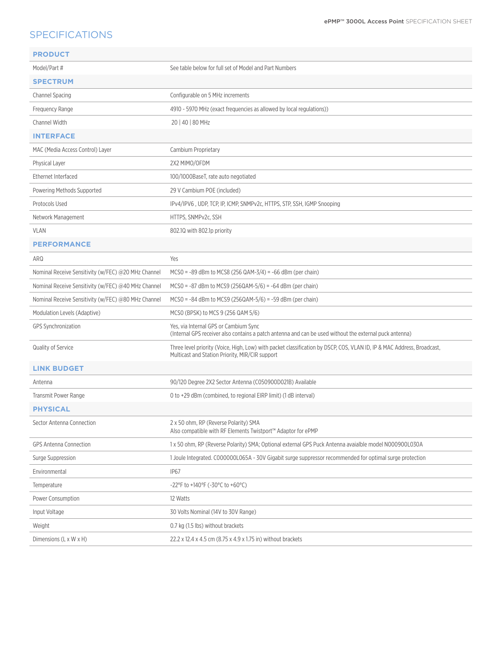## SPECIFICATIONS

| <b>PRODUCT</b>                                      |                                                                                                                                                                           |
|-----------------------------------------------------|---------------------------------------------------------------------------------------------------------------------------------------------------------------------------|
| Model/Part #                                        | See table below for full set of Model and Part Numbers                                                                                                                    |
| <b>SPECTRUM</b>                                     |                                                                                                                                                                           |
| Channel Spacing                                     | Configurable on 5 MHz increments                                                                                                                                          |
| Frequency Range                                     | 4910 - 5970 MHz (exact frequencies as allowed by local regulations))                                                                                                      |
| Channel Width                                       | 20   40   80 MHz                                                                                                                                                          |
| <b>INTERFACE</b>                                    |                                                                                                                                                                           |
| MAC (Media Access Control) Layer                    | Cambium Proprietary                                                                                                                                                       |
| Physical Layer                                      | 2X2 MIMO/OFDM                                                                                                                                                             |
| Ethernet Interfaced                                 | 100/1000BaseT, rate auto negotiated                                                                                                                                       |
| Powering Methods Supported                          | 29 V Cambium POE (included)                                                                                                                                               |
| Protocols Used                                      | IPv4/IPV6, UDP, TCP, IP, ICMP, SNMPv2c, HTTPS, STP, SSH, IGMP Snooping                                                                                                    |
| Network Management                                  | HTTPS, SNMPv2c, SSH                                                                                                                                                       |
| <b>VLAN</b>                                         | 802.10 with 802.1p priority                                                                                                                                               |
| <b>PERFORMANCE</b>                                  |                                                                                                                                                                           |
| ARQ                                                 | Yes                                                                                                                                                                       |
| Nominal Receive Sensitivity (w/FEC) @20 MHz Channel | $MCSO = -89$ dBm to MCS8 (256 QAM-3/4) = -66 dBm (per chain)                                                                                                              |
| Nominal Receive Sensitivity (w/FEC) @40 MHz Channel | $MCSO = -87$ dBm to MCS9 (256QAM-5/6) = $-64$ dBm (per chain)                                                                                                             |
| Nominal Receive Sensitivity (w/FEC) @80 MHz Channel | $MCSO = -84$ dBm to MCS9 (256QAM-5/6) = -59 dBm (per chain)                                                                                                               |
| Modulation Levels (Adaptive)                        | MCSO (BPSK) to MCS 9 (256 QAM 5/6)                                                                                                                                        |
| <b>GPS Synchronization</b>                          | Yes, via Internal GPS or Cambium Sync<br>(Internal GPS receiver also contains a patch antenna and can be used without the external puck antenna)                          |
| Quality of Service                                  | Three level priority (Voice, High, Low) with packet classification by DSCP, COS, VLAN ID, IP & MAC Address, Broadcast,<br>Multicast and Station Priority, MIR/CIR support |
| <b>LINK BUDGET</b>                                  |                                                                                                                                                                           |
| Antenna                                             | 90/120 Degree 2X2 Sector Antenna (C050900D021B) Available                                                                                                                 |
| Transmit Power Range                                | 0 to +29 dBm (combined, to regional EIRP limit) (1 dB interval)                                                                                                           |
| <b>PHYSICAL</b>                                     |                                                                                                                                                                           |
| Sector Antenna Connection                           | 2 x 50 ohm, RP (Reverse Polarity) SMA<br>Also compatible with RF Elements Twistport™ Adaptor for ePMP                                                                     |
| <b>GPS Antenna Connection</b>                       | 1 x 50 ohm, RP (Reverse Polarity) SMA; Optional external GPS Puck Antenna avaialble model N000900L030A                                                                    |
| Surge Suppression                                   | 1 Joule Integrated. C000000L065A - 30V Gigabit surge suppressor recommended for optimal surge protection                                                                  |
| Environmental                                       | IP67                                                                                                                                                                      |
| Temperature                                         | -22°F to +140°F (-30°C to +60°C)                                                                                                                                          |
| Power Consumption                                   | 12 Watts                                                                                                                                                                  |
| Input Voltage                                       | 30 Volts Nominal (14V to 30V Range)                                                                                                                                       |
| Weight                                              | 0.7 kg (1.5 lbs) without brackets                                                                                                                                         |
| Dimensions (L x W x H)                              | 22.2 x 12.4 x 4.5 cm (8.75 x 4.9 x 1.75 in) without brackets                                                                                                              |